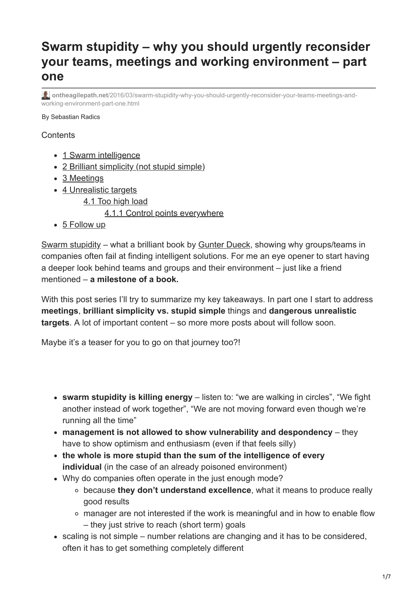# **Swarm stupidity – why you should urgently reconsider your teams, meetings and working environment – part one**

**ontheagilepath.net**[/2016/03/swarm-stupidity-why-you-should-urgently-reconsider-your-teams-meetings-and](https://www.ontheagilepath.net/2016/03/swarm-stupidity-why-you-should-urgently-reconsider-your-teams-meetings-and-working-environment-part-one.html)working-environment-part-one.html

#### By Sebastian Radics

#### **Contents**

- [1 Swarm intelligence](#page-1-0)
- [2 Brilliant simplicity \(not stupid simple\)](#page-1-1)
- [3 Meetings](#page-2-0)
- [4 Unrealistic targets](#page-4-0)
	- [4.1 Too high load](#page-4-1)

#### [4.1.1 Control points everywhere](#page-5-0)

• [5 Follow up](#page-6-0)

[Swarm stupidity](http://www.amazon.de/gp/product/B00QB770V8/ref=dp-kindle-redirect?ie=UTF8&btkr=1) – what a brilliant book by [Gunter Dueck](http://www.omnisophie.com/), showing why groups/teams in companies often fail at finding intelligent solutions. For me an eye opener to start having a deeper look behind teams and groups and their environment – just like a friend mentioned – **a milestone of a book.**

With this post series I'll try to summarize my key takeaways. In part one I start to address **meetings**, **brilliant simplicity vs. stupid simple** things and **dangerous unrealistic targets**. A lot of important content – so more more posts about will follow soon.

Maybe it's a teaser for you to go on that journey too?!

- **swarm stupidity is killing energy** listen to: "we are walking in circles", "We fight another instead of work together", "We are not moving forward even though we're running all the time"
- **management is not allowed to show vulnerability and despondency** they have to show optimism and enthusiasm (even if that feels silly)
- **the whole is more stupid than the sum of the intelligence of every individual** (in the case of an already poisoned environment)
- Why do companies often operate in the just enough mode?
	- because **they don't understand excellence**, what it means to produce really good results
	- manager are not interested if the work is meaningful and in how to enable flow – they just strive to reach (short term) goals
- scaling is not simple number relations are changing and it has to be considered, often it has to get something completely different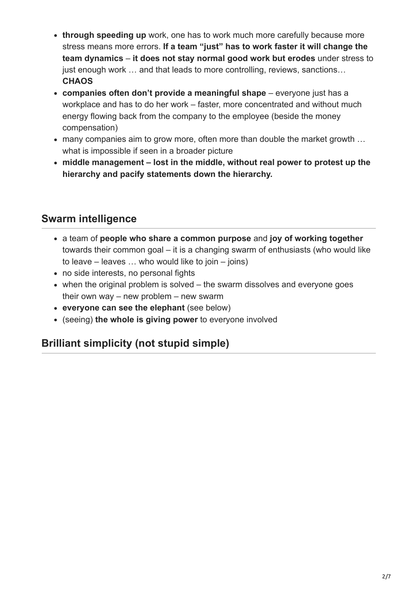- **through speeding up** work, one has to work much more carefully because more stress means more errors. **If a team "just" has to work faster it will change the team dynamics** – **it does not stay normal good work but erodes** under stress to just enough work ... and that leads to more controlling, reviews, sanctions... **CHAOS**
- **companies often don't provide a meaningful shape** everyone just has a workplace and has to do her work – faster, more concentrated and without much energy flowing back from the company to the employee (beside the money compensation)
- many companies aim to grow more, often more than double the market growth … what is impossible if seen in a broader picture
- **middle management lost in the middle, without real power to protest up the hierarchy and pacify statements down the hierarchy.**

# <span id="page-1-0"></span>**Swarm intelligence**

- a team of **people who share a common purpose** and **joy of working together** towards their common goal – it is a changing swarm of enthusiasts (who would like to leave – leaves … who would like to join – joins)
- no side interests, no personal fights
- when the original problem is solved the swarm dissolves and everyone goes their own way – new problem – new swarm
- **everyone can see the elephant** (see below)
- (seeing) **the whole is giving power** to everyone involved

## <span id="page-1-1"></span>**Brilliant simplicity (not stupid simple)**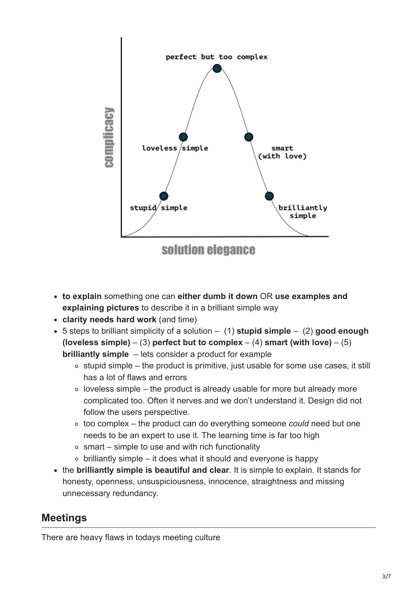

- **to explain** something one can **either dumb it down** OR **use examples and explaining pictures** to describe it in a brilliant simple way
- **clarity needs hard work** (and time)
- 5 steps to brilliant simplicity of a solution (1) **stupid simple** (2) **good enough (loveless simple)** – (3) **perfect but to complex** – (4) **smart (with love)** – (5) **brilliantly simple** – lets consider a product for example
	- $\circ$  stupid simple the product is primitive, just usable for some use cases, it still has a lot of flaws and errors
	- $\circ$  loveless simple the product is already usable for more but already more complicated too. Often it nerves and we don't understand it. Design did not follow the users perspective.
	- too complex the product can do everything someone *could* need but one needs to be an expert to use it. The learning time is far too high
	- $\circ$  smart simple to use and with rich functionality
	- $\circ$  brilliantly simple it does what it should and everyone is happy
- the **brilliantly simple is beautiful and clear**. It is simple to explain. It stands for honesty, openness, unsuspiciousness, innocence, straightness and missing unnecessary redundancy.

### <span id="page-2-0"></span>**Meetings**

There are heavy flaws in todays meeting culture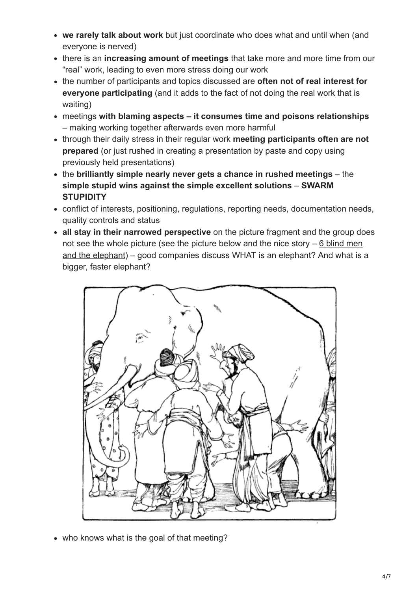- **we rarely talk about work** but just coordinate who does what and until when (and everyone is nerved)
- there is an **increasing amount of meetings** that take more and more time from our "real" work, leading to even more stress doing our work
- the number of participants and topics discussed are **often not of real interest for everyone participating** (and it adds to the fact of not doing the real work that is waiting)
- meetings **with blaming aspects it consumes time and poisons relationships** – making working together afterwards even more harmful
- through their daily stress in their regular work **meeting participants often are not prepared** (or just rushed in creating a presentation by paste and copy using previously held presentations)
- the **brilliantly simple nearly never gets a chance in rushed meetings** the **simple stupid wins against the simple excellent solutions** – **SWARM STUPIDITY**
- conflict of interests, positioning, regulations, reporting needs, documentation needs, quality controls and status
- **all stay in their narrowed perspective** on the picture fragment and the group does [not see the whole picture \(see the picture below and the nice story – 6 blind men](https://en.wikipedia.org/wiki/Blind_men_and_an_elephant) and the elephant) – good companies discuss WHAT is an elephant? And what is a bigger, faster elephant?



• who knows what is the goal of that meeting?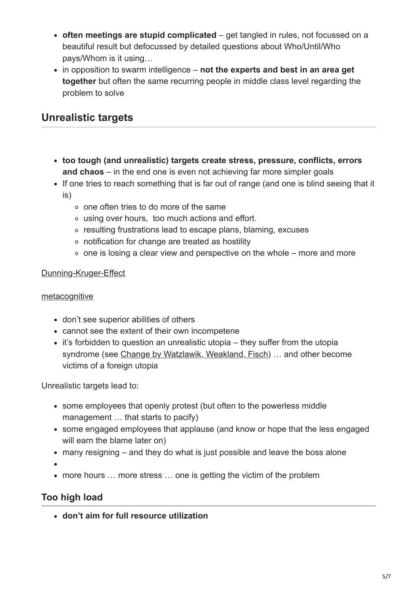- **often meetings are stupid complicated** get tangled in rules, not focussed on a beautiful result but defocussed by detailed questions about Who/Until/Who pays/Whom is it using…
- in opposition to swarm intelligence **not the experts and best in an area get together** but often the same recurring people in middle class level regarding the problem to solve

### <span id="page-4-0"></span>**Unrealistic targets**

- **too tough (and unrealistic) targets create stress, pressure, conflicts, errors and chaos** – in the end one is even not achieving far more simpler goals
- If one tries to reach something that is far out of range (and one is blind seeing that it is)
	- one often tries to do more of the same
	- using over hours, too much actions and effort.
	- resulting frustrations lead to escape plans, blaming, excuses
	- notification for change are treated as hostility
	- $\circ$  one is losing a clear view and perspective on the whole more and more

### Dunning-Kruger-Effect

#### [metacognitive](https://en.wikipedia.org/wiki/Metacognition)

- don't see superior abilities of others
- cannot see the extent of their own incompetene
- $\bullet$  it's forbidden to question an unrealistic utopia they suffer from the utopia syndrome (see [Change by Watzlawik, Weakland, Fisch\)](http://www.amazon.de/gp/product/B00VUMSR16/ref=dp-kindle-redirect?ie=UTF8&btkr=1) ... and other become victims of a foreign utopia

Unrealistic targets lead to:

- some employees that openly protest (but often to the powerless middle management … that starts to pacify)
- some engaged employees that applause (and know or hope that the less engaged will earn the blame later on)
- many resigning and they do what is just possible and leave the boss alone

more hours … more stress … one is getting the victim of the problem

### <span id="page-4-1"></span>**Too high load**

**don't aim for full resource utilization**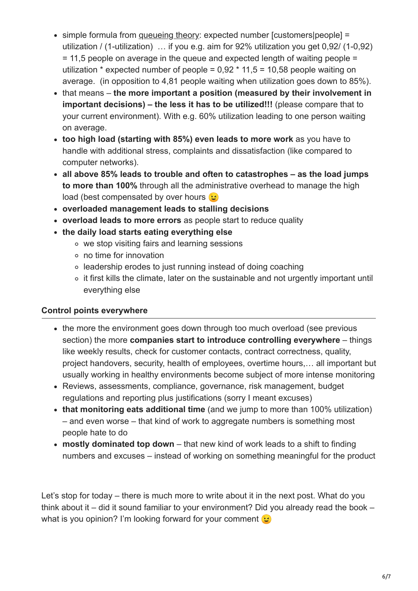- simple formula from [queueing theory:](https://en.wikibooks.org/wiki/Fundamentals_of_Transportation/Queueing) expected number [customers|people] = utilization / (1-utilization) … if you e.g. aim for 92% utilization you get 0,92/ (1-0,92) = 11,5 people on average in the queue and expected length of waiting people = utilization  $*$  expected number of people = 0,92  $*$  11,5 = 10,58 people waiting on average. (in opposition to 4,81 people waiting when utilization goes down to 85%).
- that means **the more important a position (measured by their involvement in important decisions) – the less it has to be utilized!!!** (please compare that to your current environment). With e.g. 60% utilization leading to one person waiting on average.
- **too high load (starting with 85%) even leads to more work** as you have to handle with additional stress, complaints and dissatisfaction (like compared to computer networks).
- **all above 85% leads to trouble and often to catastrophes as the load jumps to more than 100%** through all the administrative overhead to manage the high load (best compensated by over hours  $\odot$
- **overloaded management leads to stalling decisions**
- **overload leads to more errors** as people start to reduce quality
- **the daily load starts eating everything else**
	- we stop visiting fairs and learning sessions
	- no time for innovation
	- leadership erodes to just running instead of doing coaching
	- o it first kills the climate, later on the sustainable and not urgently important until everything else

### <span id="page-5-0"></span>**Control points everywhere**

- the more the environment goes down through too much overload (see previous section) the more **companies start to introduce controlling everywhere** – things like weekly results, check for customer contacts, contract correctness, quality, project handovers, security, health of employees, overtime hours,… all important but usually working in healthy environments become subject of more intense monitoring
- Reviews, assessments, compliance, governance, risk management, budget regulations and reporting plus justifications (sorry I meant excuses)
- **that monitoring eats additional time** (and we jump to more than 100% utilization) – and even worse – that kind of work to aggregate numbers is something most people hate to do
- **mostly dominated top down** that new kind of work leads to a shift to finding numbers and excuses – instead of working on something meaningful for the product

Let's stop for today – there is much more to write about it in the next post. What do you think about it – did it sound familiar to your environment? Did you already read the book – what is you opinion? I'm looking forward for your comment  $\odot$